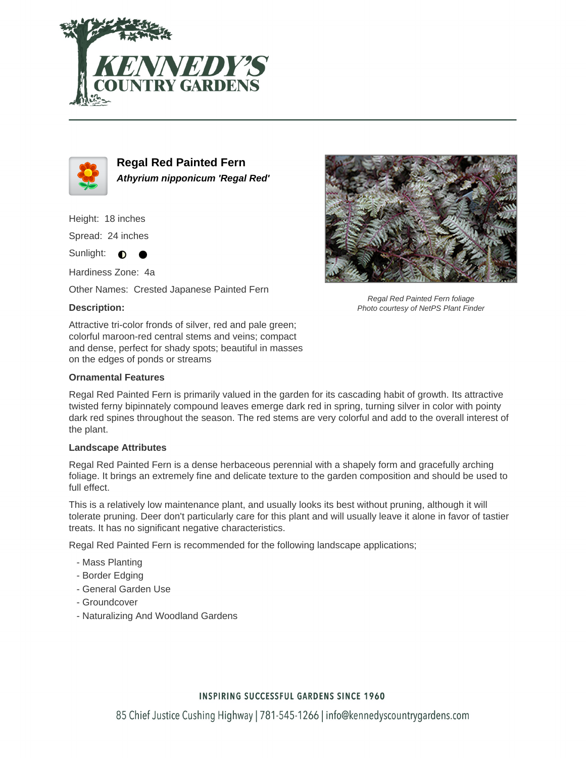



**Regal Red Painted Fern Athyrium nipponicum 'Regal Red'**

Height: 18 inches

Spread: 24 inches

Sunlight:  $\bullet$ 

Hardiness Zone: 4a

Other Names: Crested Japanese Painted Fern

## **Description:**

Attractive tri-color fronds of silver, red and pale green; colorful maroon-red central stems and veins; compact and dense, perfect for shady spots; beautiful in masses on the edges of ponds or streams

#### **Ornamental Features**

Regal Red Painted Fern is primarily valued in the garden for its cascading habit of growth. Its attractive twisted ferny bipinnately compound leaves emerge dark red in spring, turning silver in color with pointy dark red spines throughout the season. The red stems are very colorful and add to the overall interest of the plant.

### **Landscape Attributes**

Regal Red Painted Fern is a dense herbaceous perennial with a shapely form and gracefully arching foliage. It brings an extremely fine and delicate texture to the garden composition and should be used to full effect.

This is a relatively low maintenance plant, and usually looks its best without pruning, although it will tolerate pruning. Deer don't particularly care for this plant and will usually leave it alone in favor of tastier treats. It has no significant negative characteristics.

Regal Red Painted Fern is recommended for the following landscape applications;

- Mass Planting
- Border Edging
- General Garden Use
- Groundcover
- Naturalizing And Woodland Gardens



Regal Red Painted Fern foliage Photo courtesy of NetPS Plant Finder

### **INSPIRING SUCCESSFUL GARDENS SINCE 1960**